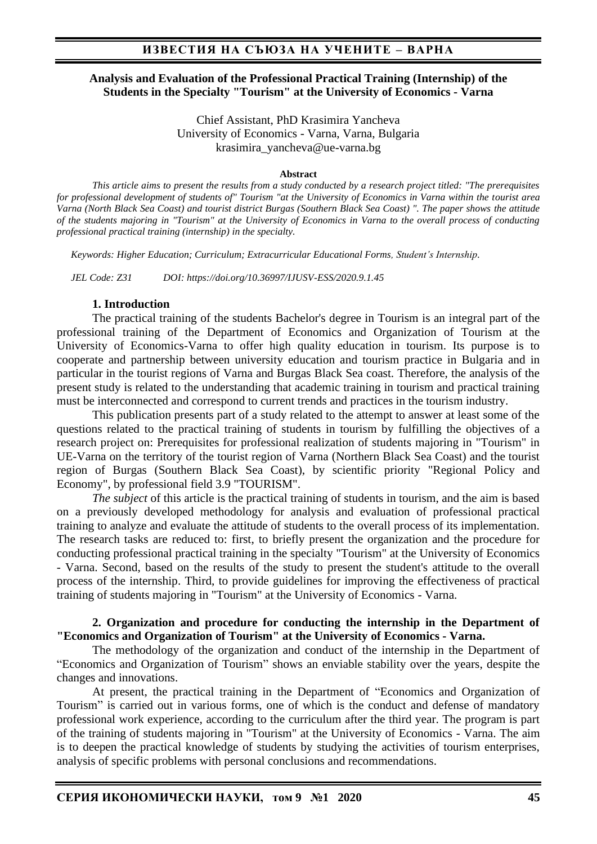#### **Analysis and Evaluation of the Professional Practical Training (Internship) of the Students in the Specialty "Tourism" at the University of Economics - Varna**

Chief Assistant, PhD Krasimira Yancheva University of Economics - Varna, Varna, Bulgaria krasimira\_yancheva@ue-varna.bg

#### **Abstract**

*This article aims to present the results from a study conducted by a research project titled: "The prerequisites for professional development of students of" Tourism "at the University of Economics in Varna within the tourist area Varna (North Black Sea Coast) and tourist district Burgas (Southern Black Sea Coast) ". The paper shows the attitude of the students majoring in "Tourism" at the University of Economics in Varna to the overall process of conducting professional practical training (internship) in the specialty.*

*Keywords: Higher Education; Curriculum; Extracurricular Educational Forms, Student's Internship.*

*JEL Code: Z31 DOI: https://doi.org/10.36997/IJUSV-ESS/2020.9.1.45*

#### **1. Introduction**

The practical training of the students Bachelor's degree in Tourism is an integral part of the professional training of the Department of Economics and Organization of Tourism at the University of Economics-Varna to offer high quality education in tourism. Its purpose is to cooperate and partnership between university education and tourism practice in Bulgaria and in particular in the tourist regions of Varna and Burgas Black Sea coast. Therefore, the analysis of the present study is related to the understanding that academic training in tourism and practical training must be interconnected and correspond to current trends and practices in the tourism industry.

This publication presents part of a study related to the attempt to answer at least some of the questions related to the practical training of students in tourism by fulfilling the objectives of a research project on: Prerequisites for professional realization of students majoring in "Tourism" in UE-Varna on the territory of the tourist region of Varna (Northern Black Sea Coast) and the tourist region of Burgas (Southern Black Sea Coast), by scientific priority "Regional Policy and Economy", by professional field 3.9 "TOURISM".

*The subject* of this article is the practical training of students in tourism, and the aim is based on a previously developed methodology for analysis and evaluation of professional practical training to analyze and evaluate the attitude of students to the overall process of its implementation. The research tasks are reduced to: first, to briefly present the organization and the procedure for conducting professional practical training in the specialty "Tourism" at the University of Economics - Varna. Second, based on the results of the study to present the student's attitude to the overall process of the internship. Third, to provide guidelines for improving the effectiveness of practical training of students majoring in "Tourism" at the University of Economics - Varna.

#### **2. Organization and procedure for conducting the internship in the Department of "Economics and Organization of Tourism" at the University of Economics - Varna.**

The methodology of the organization and conduct of the internship in the Department of "Economics and Organization of Tourism" shows an enviable stability over the years, despite the changes and innovations.

At present, the practical training in the Department of "Economics and Organization of Tourism" is carried out in various forms, one of which is the conduct and defense of mandatory professional work experience, according to the curriculum after the third year. The program is part of the training of students majoring in "Tourism" at the University of Economics - Varna. The aim is to deepen the practical knowledge of students by studying the activities of tourism enterprises, analysis of specific problems with personal conclusions and recommendations.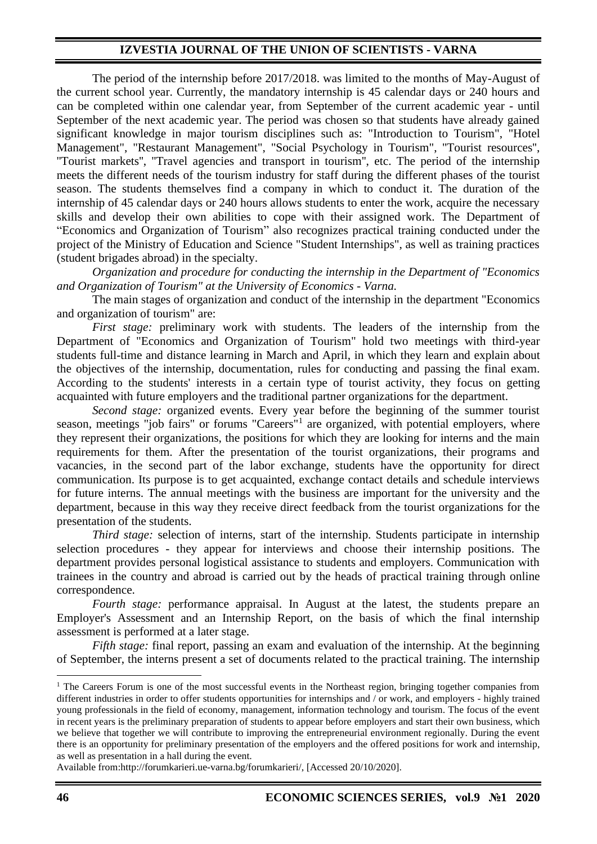The period of the internship before 2017/2018. was limited to the months of May-August of the current school year. Currently, the mandatory internship is 45 calendar days or 240 hours and can be completed within one calendar year, from September of the current academic year - until September of the next academic year. The period was chosen so that students have already gained significant knowledge in major tourism disciplines such as: "Introduction to Tourism", "Hotel Management", "Restaurant Management", "Social Psychology in Tourism", ''Tourist resources'', ''Tourist markets'', ''Travel agencies and transport in tourism'', etc. The period of the internship meets the different needs of the tourism industry for staff during the different phases of the tourist season. The students themselves find a company in which to conduct it. The duration of the internship of 45 calendar days or 240 hours allows students to enter the work, acquire the necessary skills and develop their own abilities to cope with their assigned work. The Department of "Economics and Organization of Tourism" also recognizes practical training conducted under the project of the Ministry of Education and Science "Student Internships", as well as training practices (student brigades abroad) in the specialty.

*Organization and procedure for conducting the internship in the Department of "Economics and Organization of Tourism" at the University of Economics - Varna.*

The main stages of organization and conduct of the internship in the department "Economics and organization of tourism" are:

*First stage:* preliminary work with students. The leaders of the internship from the Department of "Economics and Organization of Tourism" hold two meetings with third-year students full-time and distance learning in March and April, in which they learn and explain about the objectives of the internship, documentation, rules for conducting and passing the final exam. According to the students' interests in a certain type of tourist activity, they focus on getting acquainted with future employers and the traditional partner organizations for the department.

*Second stage:* organized events. Every year before the beginning of the summer tourist season, meetings "job fairs" or forums "Careers"<sup>1</sup> are organized, with potential employers, where they represent their organizations, the positions for which they are looking for interns and the main requirements for them. After the presentation of the tourist organizations, their programs and vacancies, in the second part of the labor exchange, students have the opportunity for direct communication. Its purpose is to get acquainted, exchange contact details and schedule interviews for future interns. The annual meetings with the business are important for the university and the department, because in this way they receive direct feedback from the tourist organizations for the presentation of the students.

*Third stage:* selection of interns, start of the internship. Students participate in internship selection procedures - they appear for interviews and choose their internship positions. The department provides personal logistical assistance to students and employers. Communication with trainees in the country and abroad is carried out by the heads of practical training through online correspondence.

*Fourth stage:* performance appraisal. In August at the latest, the students prepare an Employer's Assessment and an Internship Report, on the basis of which the final internship assessment is performed at a later stage.

*Fifth stage:* final report, passing an exam and evaluation of the internship. At the beginning of September, the interns present a set of documents related to the practical training. The internship

Available from:http://forumkarieri.ue-varna.bg/forumkarieri/, [Accessed 20/10/2020].

 $1$  The Careers Forum is one of the most successful events in the Northeast region, bringing together companies from different industries in order to offer students opportunities for internships and / or work, and employers - highly trained young professionals in the field of economy, management, information technology and tourism. The focus of the event in recent years is the preliminary preparation of students to appear before employers and start their own business, which we believe that together we will contribute to improving the entrepreneurial environment regionally. During the event there is an opportunity for preliminary presentation of the employers and the offered positions for work and internship, as well as presentation in a hall during the event.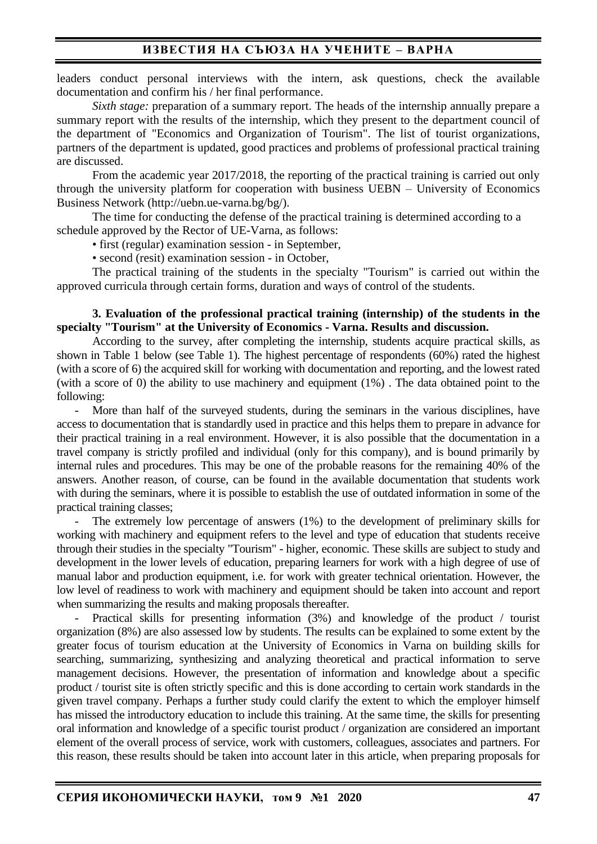leaders conduct personal interviews with the intern, ask questions, check the available documentation and confirm his / her final performance.

*Sixth stage:* preparation of a summary report. The heads of the internship annually prepare a summary report with the results of the internship, which they present to the department council of the department of "Economics and Organization of Tourism". The list of tourist organizations, partners of the department is updated, good practices and problems of professional practical training are discussed.

From the academic year 2017/2018, the reporting of the practical training is carried out only through the university platform for cooperation with business UEBN – University of Economics Business Network (http://uebn.ue-varna.bg/bg/).

The time for conducting the defense of the practical training is determined according to a schedule approved by the Rector of UE-Varna, as follows:

• first (regular) examination session - in September,

• second (resit) examination session - in October,

The practical training of the students in the specialty "Tourism" is carried out within the approved curricula through certain forms, duration and ways of control of the students.

#### **3. Evaluation of the professional practical training (internship) of the students in the specialty "Tourism" at the University of Economics - Varna. Results and discussion.**

According to the survey, after completing the internship, students acquire practical skills, as shown in Table 1 below (see Table 1). The highest percentage of respondents (60%) rated the highest (with a score of 6) the acquired skill for working with documentation and reporting, and the lowest rated (with a score of 0) the ability to use machinery and equipment (1%) . The data obtained point to the following:

More than half of the surveyed students, during the seminars in the various disciplines, have access to documentation that is standardly used in practice and this helps them to prepare in advance for their practical training in a real environment. However, it is also possible that the documentation in a travel company is strictly profiled and individual (only for this company), and is bound primarily by internal rules and procedures. This may be one of the probable reasons for the remaining 40% of the answers. Another reason, of course, can be found in the available documentation that students work with during the seminars, where it is possible to establish the use of outdated information in some of the practical training classes;

The extremely low percentage of answers  $(1%)$  to the development of preliminary skills for working with machinery and equipment refers to the level and type of education that students receive through their studies in the specialty "Tourism" - higher, economic. These skills are subject to study and development in the lower levels of education, preparing learners for work with a high degree of use of manual labor and production equipment, i.e. for work with greater technical orientation. However, the low level of readiness to work with machinery and equipment should be taken into account and report when summarizing the results and making proposals thereafter.

Practical skills for presenting information (3%) and knowledge of the product / tourist organization (8%) are also assessed low by students. The results can be explained to some extent by the greater focus of tourism education at the University of Economics in Varna on building skills for searching, summarizing, synthesizing and analyzing theoretical and practical information to serve management decisions. However, the presentation of information and knowledge about a specific product / tourist site is often strictly specific and this is done according to certain work standards in the given travel company. Perhaps a further study could clarify the extent to which the employer himself has missed the introductory education to include this training. At the same time, the skills for presenting oral information and knowledge of a specific tourist product / organization are considered an important element of the overall process of service, work with customers, colleagues, associates and partners. For this reason, these results should be taken into account later in this article, when preparing proposals for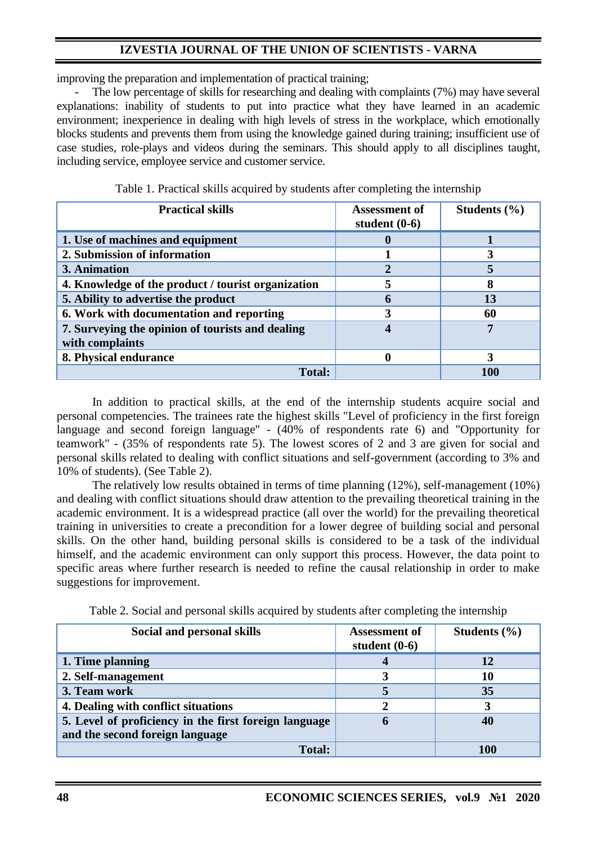improving the preparation and implementation of practical training;

The low percentage of skills for researching and dealing with complaints (7%) may have several explanations: inability of students to put into practice what they have learned in an academic environment; inexperience in dealing with high levels of stress in the workplace, which emotionally blocks students and prevents them from using the knowledge gained during training; insufficient use of case studies, role-plays and videos during the seminars. This should apply to all disciplines taught, including service, employee service and customer service.

| <b>Practical skills</b>                                             | <b>Assessment of</b><br>student $(0-6)$ | Students $(\% )$ |
|---------------------------------------------------------------------|-----------------------------------------|------------------|
| 1. Use of machines and equipment                                    |                                         |                  |
| 2. Submission of information                                        |                                         |                  |
| 3. Animation                                                        |                                         |                  |
| 4. Knowledge of the product / tourist organization                  |                                         |                  |
| 5. Ability to advertise the product                                 |                                         | 13               |
| 6. Work with documentation and reporting                            |                                         | 60               |
| 7. Surveying the opinion of tourists and dealing<br>with complaints |                                         |                  |
| 8. Physical endurance                                               |                                         | 3                |
| <b>Total:</b>                                                       |                                         | 100              |

Table 1. Practical skills acquired by students after completing the internship

In addition to practical skills, at the end of the internship students acquire social and personal competencies. The trainees rate the highest skills "Level of proficiency in the first foreign language and second foreign language" - (40% of respondents rate 6) and "Opportunity for teamwork" - (35% of respondents rate 5). The lowest scores of 2 and 3 are given for social and personal skills related to dealing with conflict situations and self-government (according to 3% and 10% of students). (See Table 2).

The relatively low results obtained in terms of time planning (12%), self-management (10%) and dealing with conflict situations should draw attention to the prevailing theoretical training in the academic environment. It is a widespread practice (all over the world) for the prevailing theoretical training in universities to create a precondition for a lower degree of building social and personal skills. On the other hand, building personal skills is considered to be a task of the individual himself, and the academic environment can only support this process. However, the data point to specific areas where further research is needed to refine the causal relationship in order to make suggestions for improvement.

|  |  | Table 2. Social and personal skills acquired by students after completing the internship |
|--|--|------------------------------------------------------------------------------------------|
|--|--|------------------------------------------------------------------------------------------|

| Social and personal skills                            | <b>Assessment of</b><br>student $(0-6)$ | Students $(\% )$ |
|-------------------------------------------------------|-----------------------------------------|------------------|
| 1. Time planning                                      |                                         | 12               |
| 2. Self-management                                    |                                         | 10               |
| 3. Team work                                          |                                         | 35               |
| 4. Dealing with conflict situations                   |                                         |                  |
| 5. Level of proficiency in the first foreign language | m                                       | 40               |
| and the second foreign language                       |                                         |                  |
| <b>Total:</b>                                         |                                         |                  |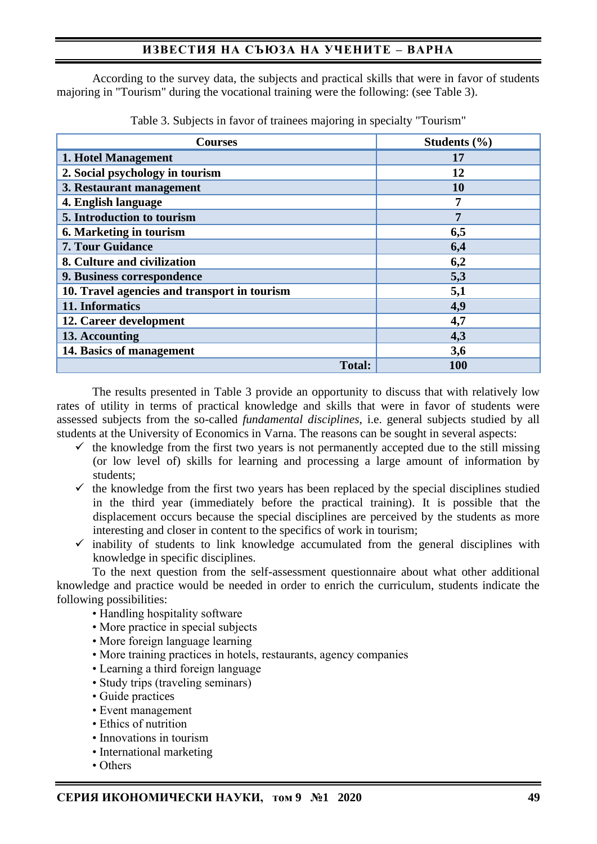# **ИЗВЕСТИЯ НА СЪЮЗА НА УЧЕНИТЕ – ВАРНА**

According to the survey data, the subjects and practical skills that were in favor of students majoring in "Tourism" during the vocational training were the following: (see Table 3).

| <b>Courses</b>                               | Students $(\% )$ |
|----------------------------------------------|------------------|
| 1. Hotel Management                          | 17               |
| 2. Social psychology in tourism              | 12               |
| 3. Restaurant management                     | 10               |
| 4. English language                          | 7                |
| 5. Introduction to tourism                   | $\overline{7}$   |
| 6. Marketing in tourism                      | 6,5              |
| <b>7. Tour Guidance</b>                      | 6,4              |
| 8. Culture and civilization                  | 6,2              |
| 9. Business correspondence                   | 5,3              |
| 10. Travel agencies and transport in tourism | 5,1              |
| 11. Informatics                              | 4,9              |
| 12. Career development                       | 4,7              |
| 13. Accounting                               | 4,3              |
| 14. Basics of management                     | 3,6              |
| <b>Total:</b>                                | 100              |

Table 3. Subjects in favor of trainees majoring in specialty "Tourism"

The results presented in Table 3 provide an opportunity to discuss that with relatively low rates of utility in terms of practical knowledge and skills that were in favor of students were assessed subjects from the so-called *fundamental disciplines*, i.e. general subjects studied by all students at the University of Economics in Varna. The reasons can be sought in several aspects:

- $\checkmark$  the knowledge from the first two years is not permanently accepted due to the still missing (or low level of) skills for learning and processing a large amount of information by students;
- $\checkmark$  the knowledge from the first two years has been replaced by the special disciplines studied in the third year (immediately before the practical training). It is possible that the displacement occurs because the special disciplines are perceived by the students as more interesting and closer in content to the specifics of work in tourism;
- $\checkmark$  inability of students to link knowledge accumulated from the general disciplines with knowledge in specific disciplines.

To the next question from the self-assessment questionnaire about what other additional knowledge and practice would be needed in order to enrich the curriculum, students indicate the following possibilities:

- Handling hospitality software
- More practice in special subjects
- More foreign language learning
- More training practices in hotels, restaurants, agency companies
- Learning a third foreign language
- Study trips (traveling seminars)
- Guide practices
- Event management
- Ethics of nutrition
- Innovations in tourism
- International marketing
- Others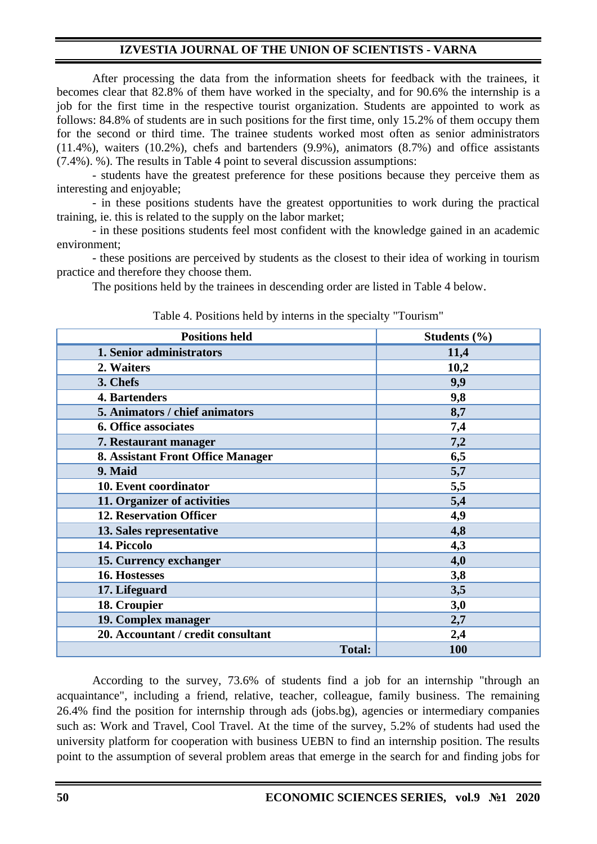After processing the data from the information sheets for feedback with the trainees, it becomes clear that 82.8% of them have worked in the specialty, and for 90.6% the internship is a job for the first time in the respective tourist organization. Students are appointed to work as follows: 84.8% of students are in such positions for the first time, only 15.2% of them occupy them for the second or third time. The trainee students worked most often as senior administrators (11.4%), waiters (10.2%), chefs and bartenders (9.9%), animators (8.7%) and office assistants (7.4%). %). The results in Table 4 point to several discussion assumptions:

- students have the greatest preference for these positions because they perceive them as interesting and enjoyable;

- in these positions students have the greatest opportunities to work during the practical training, ie. this is related to the supply on the labor market;

- in these positions students feel most confident with the knowledge gained in an academic environment;

- these positions are perceived by students as the closest to their idea of working in tourism practice and therefore they choose them.

The positions held by the trainees in descending order are listed in Table 4 below.

| <b>Positions held</b>                    | Students $(\% )$ |
|------------------------------------------|------------------|
| 1. Senior administrators                 | 11,4             |
| 2. Waiters                               | 10,2             |
| 3. Chefs                                 | 9,9              |
| 4. Bartenders                            | 9,8              |
| 5. Animators / chief animators           | 8,7              |
| <b>6. Office associates</b>              | 7,4              |
| 7. Restaurant manager                    | 7,2              |
| <b>8. Assistant Front Office Manager</b> | 6,5              |
| 9. Maid                                  | 5,7              |
| 10. Event coordinator                    | 5,5              |
| 11. Organizer of activities              | 5,4              |
| <b>12. Reservation Officer</b>           | 4,9              |
| 13. Sales representative                 | 4,8              |
| 14. Piccolo                              | 4,3              |
| 15. Currency exchanger                   | 4,0              |
| 16. Hostesses                            | 3,8              |
| 17. Lifeguard                            | 3,5              |
| 18. Croupier                             | 3,0              |
| 19. Complex manager                      | 2,7              |
| 20. Accountant / credit consultant       | 2,4              |
| <b>Total:</b>                            | 100              |

Table 4. Positions held by interns in the specialty "Tourism"

According to the survey, 73.6% of students find a job for an internship "through an acquaintance", including a friend, relative, teacher, colleague, family business. The remaining 26.4% find the position for internship through ads (jobs.bg), agencies or intermediary companies such as: Work and Travel, Cool Travel. At the time of the survey, 5.2% of students had used the university platform for cooperation with business UEBN to find an internship position. The results point to the assumption of several problem areas that emerge in the search for and finding jobs for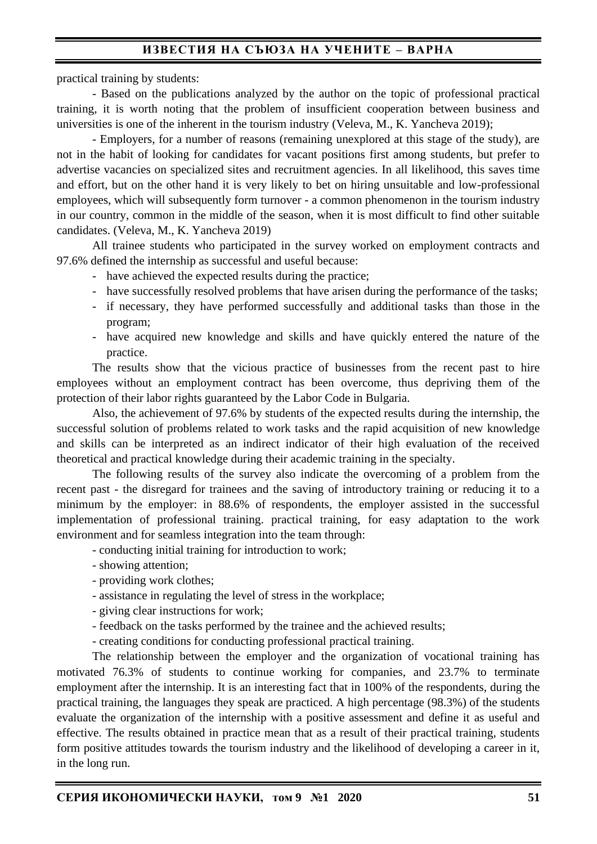# **ИЗВЕСТИЯ НА СЪЮЗА НА УЧЕНИТЕ – ВАРНА**

practical training by students:

- Based on the publications analyzed by the author on the topic of professional practical training, it is worth noting that the problem of insufficient cooperation between business and universities is one of the inherent in the tourism industry (Veleva, M., K. Yancheva 2019);

- Employers, for a number of reasons (remaining unexplored at this stage of the study), are not in the habit of looking for candidates for vacant positions first among students, but prefer to advertise vacancies on specialized sites and recruitment agencies. In all likelihood, this saves time and effort, but on the other hand it is very likely to bet on hiring unsuitable and low-professional employees, which will subsequently form turnover - a common phenomenon in the tourism industry in our country, common in the middle of the season, when it is most difficult to find other suitable candidates. (Veleva, M., K. Yancheva 2019)

All trainee students who participated in the survey worked on employment contracts and 97.6% defined the internship as successful and useful because:

- have achieved the expected results during the practice;
- have successfully resolved problems that have arisen during the performance of the tasks;
- if necessary, they have performed successfully and additional tasks than those in the program;
- have acquired new knowledge and skills and have quickly entered the nature of the practice.

The results show that the vicious practice of businesses from the recent past to hire employees without an employment contract has been overcome, thus depriving them of the protection of their labor rights guaranteed by the Labor Code in Bulgaria.

Also, the achievement of 97.6% by students of the expected results during the internship, the successful solution of problems related to work tasks and the rapid acquisition of new knowledge and skills can be interpreted as an indirect indicator of their high evaluation of the received theoretical and practical knowledge during their academic training in the specialty.

The following results of the survey also indicate the overcoming of a problem from the recent past - the disregard for trainees and the saving of introductory training or reducing it to a minimum by the employer: in 88.6% of respondents, the employer assisted in the successful implementation of professional training. practical training, for easy adaptation to the work environment and for seamless integration into the team through:

- conducting initial training for introduction to work;
- showing attention;
- providing work clothes;
- assistance in regulating the level of stress in the workplace;
- giving clear instructions for work;
- feedback on the tasks performed by the trainee and the achieved results;
- creating conditions for conducting professional practical training.

The relationship between the employer and the organization of vocational training has motivated 76.3% of students to continue working for companies, and 23.7% to terminate employment after the internship. It is an interesting fact that in 100% of the respondents, during the practical training, the languages they speak are practiced. A high percentage (98.3%) of the students evaluate the organization of the internship with a positive assessment and define it as useful and effective. The results obtained in practice mean that as a result of their practical training, students form positive attitudes towards the tourism industry and the likelihood of developing a career in it, in the long run.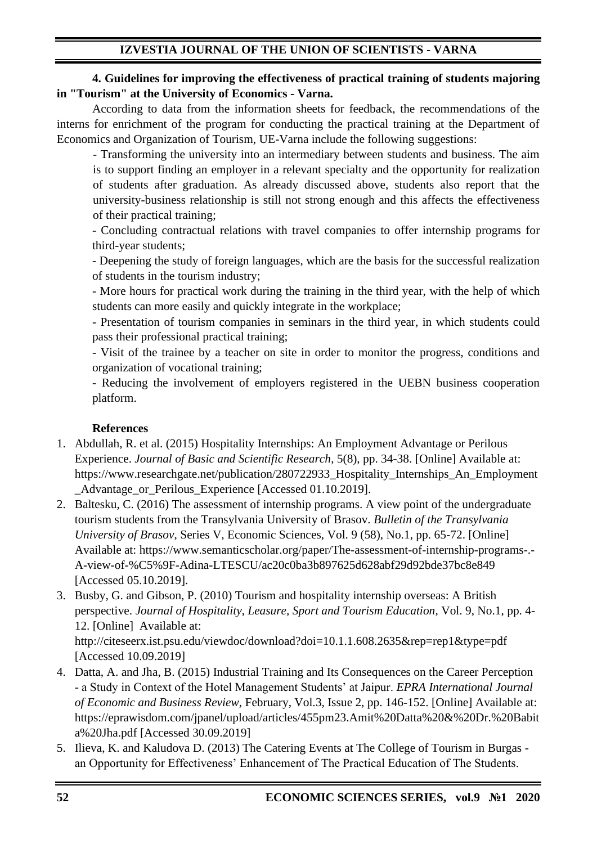## **4. Guidelines for improving the effectiveness of practical training of students majoring in "Tourism" at the University of Economics - Varna.**

According to data from the information sheets for feedback, the recommendations of the interns for enrichment of the program for conducting the practical training at the Department of Economics and Organization of Tourism, UE-Varna include the following suggestions:

- Transforming the university into an intermediary between students and business. The aim is to support finding an employer in a relevant specialty and the opportunity for realization of students after graduation. As already discussed above, students also report that the university-business relationship is still not strong enough and this affects the effectiveness of their practical training;

- Concluding contractual relations with travel companies to offer internship programs for third-year students;

- Deepening the study of foreign languages, which are the basis for the successful realization of students in the tourism industry;

- More hours for practical work during the training in the third year, with the help of which students can more easily and quickly integrate in the workplace;

- Presentation of tourism companies in seminars in the third year, in which students could pass their professional practical training;

- Visit of the trainee by a teacher on site in order to monitor the progress, conditions and organization of vocational training;

- Reducing the involvement of employers registered in the UEBN business cooperation platform.

## **References**

- 1. Abdullah, R. et al. (2015) Hospitality Internships: An Employment Advantage or Perilous Experience. *Journal of Basic and Scientific Research*, 5(8), pp. 34-38. [Online] Available at: https://www.researchgate.net/publication/280722933\_Hospitality\_Internships\_An\_Employment Advantage or Perilous Experience [Accessed 01.10.2019].
- 2. Baltesku, C. (2016) The assessment of internship programs. A view point of the undergraduate tourism students from the Transylvania University of Brasov. *Bulletin of the Transylvania University of Brasov*, Series V, Economic Sciences, Vol. 9 (58), No.1, pp. 65-72. [Online] Available at: https://www.semanticscholar.org/paper/The-assessment-of-internship-programs-.- A-view-of-%C5%9F-Adina-LTESCU/ac20c0ba3b897625d628abf29d92bde37bc8e849 [Accessed 05.10.2019].
- 3. Busby, G. and Gibson, P. (2010) Tourism and hospitality internship overseas: A British perspective. *Journal of Hospitality, Leasure, Sport and Tourism Education*, Vol. 9, No.1, pp. 4- 12. [Online] Available at:

http://citeseerx.ist.psu.edu/viewdoc/download?doi=10.1.1.608.2635&rep=rep1&type=pdf [Accessed 10.09.2019]

- 4. Datta, A. and Jha, B. (2015) Industrial Training and Its Consequences on the Career Perception - a Study in Context of the Hotel Management Students' at Jaipur. *EPRA International Journal of Economic and Business Review*, February, Vol.3, Issue 2, pp. 146-152. [Online] Available at: https://eprawisdom.com/jpanel/upload/articles/455pm23.Amit%20Datta%20&%20Dr.%20Babit a%20Jha.pdf [Accessed 30.09.2019]
- 5. Ilieva, K. and Kaludova D. (2013) The Catering Events at The College of Tourism in Burgas an Opportunity for Effectiveness' Enhancement of The Practical Education of The Students.